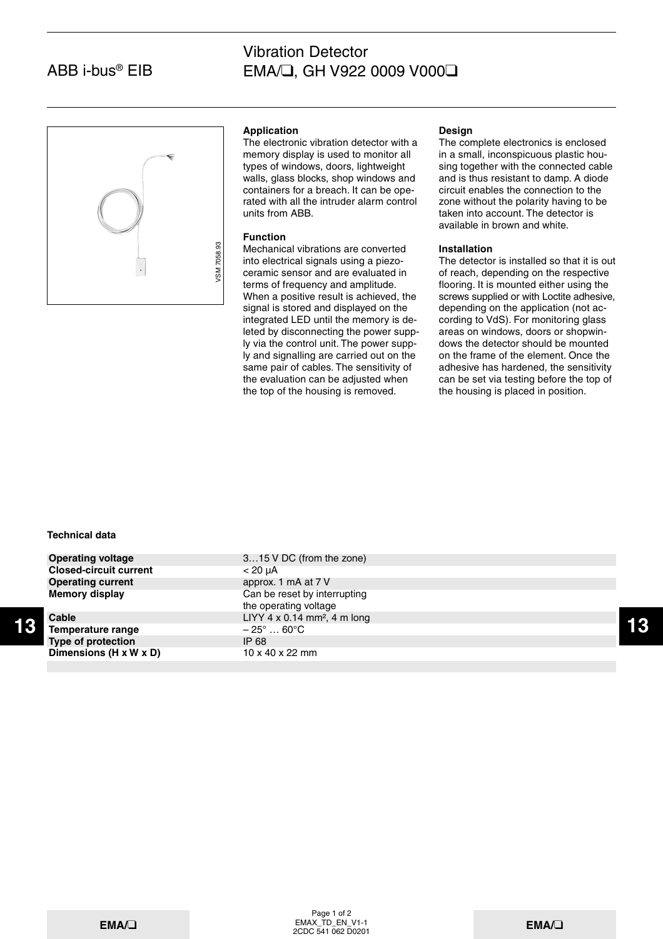# ABB i-bus® EIB

# Vibration Detector EMA/❑, GH V922 0009 V000❑



## **Application**

The electronic vibration detector with a memory display is used to monitor all types of windows, doors, lightweight walls, glass blocks, shop windows and containers for a breach. It can be operated with all the intruder alarm control units from ABB.

## **Function**

Mechanical vibrations are converted into electrical signals using a piezoceramic sensor and are evaluated in terms of frequency and amplitude. When a positive result is achieved, the signal is stored and displayed on the integrated LED until the memory is deleted by disconnecting the power supply via the control unit. The power supply and signalling are carried out on the same pair of cables. The sensitivity of the evaluation can be adjusted when the top of the housing is removed.

#### **Design**

The complete electronics is enclosed in a small, inconspicuous plastic housing together with the connected cable and is thus resistant to damp. A diode circuit enables the connection to the zone without the polarity having to be taken into account. The detector is available in brown and white.

## **Installation**

The detector is installed so that it is out of reach, depending on the respective flooring. It is mounted either using the screws supplied or with Loctite adhesive, depending on the application (not according to VdS). For monitoring glass areas on windows, doors or shopwindows the detector should be mounted on the frame of the element. Once the adhesive has hardened, the sensitivity can be set via testing before the top of the housing is placed in position.

## **Technical data**

**Closed-circuit current** < 20 µA **Operating current** approx. 1 mA at 7 V

**Temperature range Type of protection IP 68** 

**13 13 13 13 13 13 141 141 141 141 141 141 141 141 141 141 141 141 141 141 141 141 141 141 141 141 141 141 141 141 141 141 141 141 141 141 141 141 Operating voltage** 3...15 V DC (from the zone) **Memory display** Can be reset by interrupting the operating voltage **Cable** LIYY 4 x 0.14 mm<sup>2</sup>, 4 m long<br> **Temperature range**  $-25^\circ$  ... 60°C